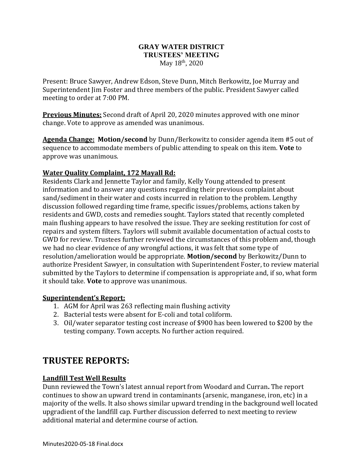### **GRAY WATER DISTRICT TRUSTEES' MEETING** May  $18^{th}$ , 2020

Present: Bruce Sawyer, Andrew Edson, Steve Dunn, Mitch Berkowitz, Joe Murray and Superintendent Jim Foster and three members of the public. President Sawyer called meeting to order at 7:00 PM.

**Previous Minutes:** Second draft of April 20, 2020 minutes approved with one minor change. Vote to approve as amended was unanimous.

**Agenda Change: Motion/second** by Dunn/Berkowitz to consider agenda item #5 out of sequence to accommodate members of public attending to speak on this item. **Vote** to approve was unanimous.

## **Water Quality Complaint, 172 Mayall Rd:**

Residents Clark and Jennette Taylor and family, Kelly Young attended to present information and to answer any questions regarding their previous complaint about sand/sediment in their water and costs incurred in relation to the problem. Lengthy discussion followed regarding time frame, specific issues/problems, actions taken by residents and GWD, costs and remedies sought. Taylors stated that recently completed main flushing appears to have resolved the issue. They are seeking restitution for cost of repairs and system filters. Taylors will submit available documentation of actual costs to GWD for review. Trustees further reviewed the circumstances of this problem and, though we had no clear evidence of any wrongful actions, it was felt that some type of resolution/amelioration would be appropriate. **Motion/second** by Berkowitz/Dunn to authorize President Sawyer, in consultation with Superintendent Foster, to review material submitted by the Taylors to determine if compensation is appropriate and, if so, what form it should take. **Vote** to approve was unanimous.

### **Superintendent's Report:**

- 1. AGM for April was 263 reflecting main flushing activity
- 2. Bacterial tests were absent for E-coli and total coliform.
- 3. Oil/water separator testing cost increase of \$900 has been lowered to \$200 by the testing company. Town accepts. No further action required.

# **TRUSTEE REPORTS:**

## **Landfill Test Well Results**

Dunn reviewed the Town's latest annual report from Woodard and Curran**.** The report continues to show an upward trend in contaminants (arsenic, manganese, iron, etc) in a majority of the wells. It also shows similar upward trending in the background well located upgradient of the landfill cap. Further discussion deferred to next meeting to review additional material and determine course of action.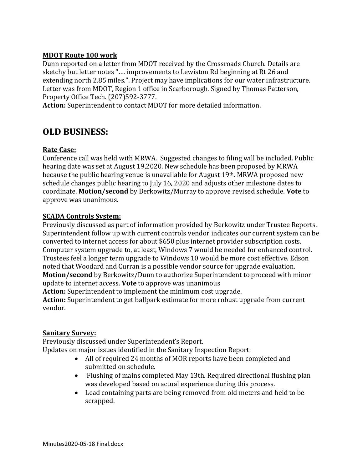### **MDOT Route 100 work**

Dunn reported on a letter from MDOT received by the Crossroads Church. Details are sketchy but letter notes "…. improvements to Lewiston Rd beginning at Rt 26 and extending north 2.85 miles.". Project may have implications for our water infrastructure. Letter was from MDOT, Region 1 office in Scarborough. Signed by Thomas Patterson, Property Office Tech. (207)592-3777.

**Action:** Superintendent to contact MDOT for more detailed information.

# **OLD BUSINESS:**

### **Rate Case:**

Conference call was held with MRWA. Suggested changes to filing will be included. Public hearing date was set at August 19,2020. New schedule has been proposed by MRWA because the public hearing venue is unavailable for August 19th. MRWA proposed new schedule changes public hearing to July 16, 2020 and adjusts other milestone dates to coordinate. **Motion/second** by Berkowitz/Murray to approve revised schedule. **Vote** to approve was unanimous.

### **SCADA Controls System:**

Previously discussed as part of information provided by Berkowitz under Trustee Reports. Superintendent follow up with current controls vendor indicates our current system can be converted to internet access for about \$650 plus internet provider subscription costs. Computer system upgrade to, at least, Windows 7 would be needed for enhanced control. Trustees feel a longer term upgrade to Windows 10 would be more cost effective. Edson noted that Woodard and Curran is a possible vendor source for upgrade evaluation. **Motion/second** by Berkowitz/Dunn to authorize Superintendent to proceed with minor update to internet access. **Vote** to approve was unanimous **Action:** Superintendent to implement the minimum cost upgrade. **Action:** Superintendent to get ballpark estimate for more robust upgrade from current vendor.

### **Sanitary Survey:**

Previously discussed under Superintendent's Report. Updates on major issues identified in the Sanitary Inspection Report:

- All of required 24 months of MOR reports have been completed and submitted on schedule.
- Flushing of mains completed May 13th. Required directional flushing plan was developed based on actual experience during this process.
- Lead containing parts are being removed from old meters and held to be scrapped.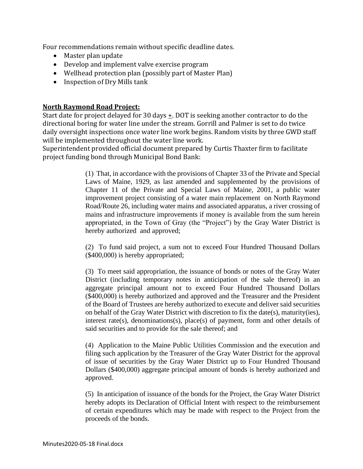Four recommendations remain without specific deadline dates.

- Master plan update
- Develop and implement valve exercise program
- Wellhead protection plan (possibly part of Master Plan)
- Inspection of Dry Mills tank

### **North Raymond Road Project:**

Start date for project delayed for 30 days +. DOT is seeking another contractor to do the directional boring for water line under the stream. Gorrill and Palmer is set to do twice daily oversight inspections once water line work begins. Random visits by three GWD staff will be implemented throughout the water line work.

Superintendent provided official document prepared by Curtis Thaxter firm to facilitate project funding bond through Municipal Bond Bank:

> (1) That, in accordance with the provisions of Chapter 33 of the Private and Special Laws of Maine, 1929, as last amended and supplemented by the provisions of Chapter 11 of the Private and Special Laws of Maine, 2001, a public water improvement project consisting of a water main replacement on North Raymond Road/Route 26, including water mains and associated apparatus, a river crossing of mains and infrastructure improvements if money is available from the sum herein appropriated, in the Town of Gray (the "Project") by the Gray Water District is hereby authorized and approved;

> (2) To fund said project, a sum not to exceed Four Hundred Thousand Dollars (\$400,000) is hereby appropriated;

> (3) To meet said appropriation, the issuance of bonds or notes of the Gray Water District (including temporary notes in anticipation of the sale thereof) in an aggregate principal amount not to exceed Four Hundred Thousand Dollars (\$400,000) is hereby authorized and approved and the Treasurer and the President of the Board of Trustees are hereby authorized to execute and deliver said securities on behalf of the Gray Water District with discretion to fix the date(s), maturity(ies), interest rate(s), denominations(s), place(s) of payment, form and other details of said securities and to provide for the sale thereof; and

> (4) Application to the Maine Public Utilities Commission and the execution and filing such application by the Treasurer of the Gray Water District for the approval of issue of securities by the Gray Water District up to Four Hundred Thousand Dollars (\$400,000) aggregate principal amount of bonds is hereby authorized and approved.

> (5) In anticipation of issuance of the bonds for the Project, the Gray Water District hereby adopts its Declaration of Official Intent with respect to the reimbursement of certain expenditures which may be made with respect to the Project from the proceeds of the bonds.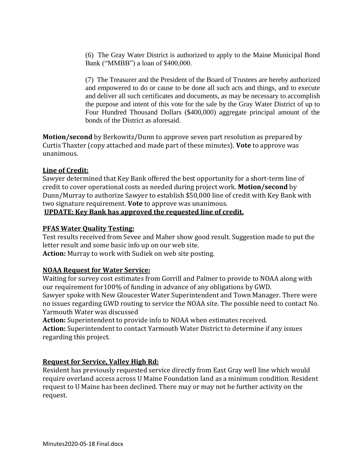(6) The Gray Water District is authorized to apply to the Maine Municipal Bond Bank ("MMBB") a loan of \$400,000.

(7) The Treasurer and the President of the Board of Trustees are hereby authorized and empowered to do or cause to be done all such acts and things, and to execute and deliver all such certificates and documents, as may be necessary to accomplish the purpose and intent of this vote for the sale by the Gray Water District of up to Four Hundred Thousand Dollars (\$400,000) aggregate principal amount of the bonds of the District as aforesaid.

**Motion/second** by Berkowitz/Dunn to approve seven part resolution as prepared by Curtis Thaxter (copy attached and made part of these minutes). **Vote** to approve was unanimous.

### **Line of Credit:**

Sawyer determined that Key Bank offered the best opportunity for a short-term line of credit to cover operational costs as needed during project work. **Motion/second** by Dunn/Murray to authorize Sawyer to establish \$50,000 line of credit with Key Bank with two signature requirement. **Vote** to approve was unanimous. **UPDATE: Key Bank has approved the requested line of credit.**

# **PFAS Water Quality Testing:**

Test results received from Sevee and Maher show good result. Suggestion made to put the letter result and some basic info up on our web site.

**Action:** Murray to work with Sudiek on web site posting.

## **NOAA Request for Water Service:**

Waiting for survey cost estimates from Gorrill and Palmer to provide to NOAA along with our requirement for100% of funding in advance of any obligations by GWD. Sawyer spoke with New Gloucester Water Superintendent and Town Manager. There were no issues regarding GWD routing to service the NOAA site. The possible need to contact No. Yarmouth Water was discussed

**Action:** Superintendent to provide info to NOAA when estimates received.

**Action:** Superintendent to contact Yarmouth Water District to determine if any issues regarding this project.

## **Request for Service, Valley High Rd:**

Resident has previously requested service directly from East Gray well line which would require overland access across U Maine Foundation land as a minimum condition. Resident request to U Maine has been declined. There may or may not be further activity on the request.